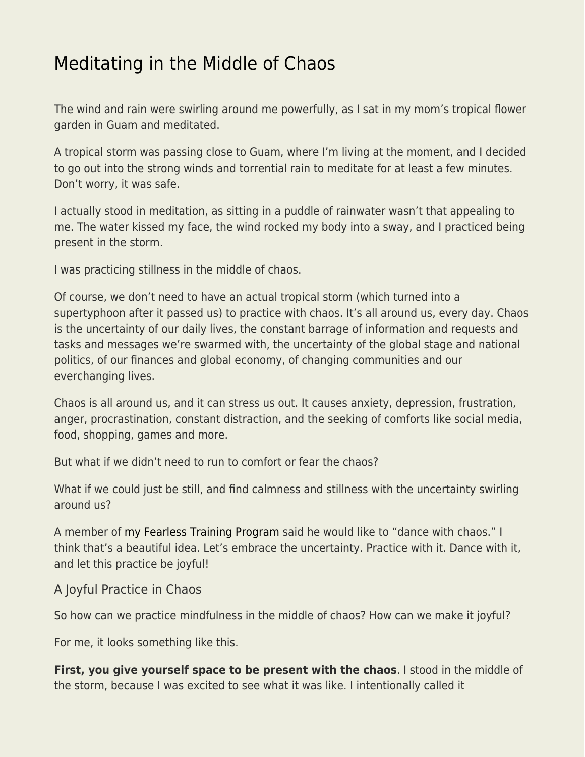## [Meditating in the Middle of Chaos](https://everything-voluntary.com/meditating-in-the-middle-of-chaos)

The wind and rain were swirling around me powerfully, as I sat in my mom's tropical flower garden in Guam and meditated.

A tropical storm was passing close to Guam, where I'm living at the moment, and I decided to go out into the strong winds and torrential rain to meditate for at least a few minutes. Don't worry, it was safe.

I actually stood in meditation, as sitting in a puddle of rainwater wasn't that appealing to me. The water kissed my face, the wind rocked my body into a sway, and I practiced being present in the storm.

I was practicing stillness in the middle of chaos.

Of course, we don't need to have an actual tropical storm (which turned into a supertyphoon after it passed us) to practice with chaos. It's all around us, every day. Chaos is the uncertainty of our daily lives, the constant barrage of information and requests and tasks and messages we're swarmed with, the uncertainty of the global stage and national politics, of our finances and global economy, of changing communities and our everchanging lives.

Chaos is all around us, and it can stress us out. It causes anxiety, depression, frustration, anger, procrastination, constant distraction, and the seeking of comforts like social media, food, shopping, games and more.

But what if we didn't need to run to comfort or fear the chaos?

What if we could just be still, and find calmness and stillness with the uncertainty swirling around us?

A member of [my Fearless Training Program](https://www.patreon.com/zenhabits) said he would like to "dance with chaos." I think that's a beautiful idea. Let's embrace the uncertainty. Practice with it. Dance with it, and let this practice be joyful!

## A Joyful Practice in Chaos

So how can we practice mindfulness in the middle of chaos? How can we make it joyful?

For me, it looks something like this.

**First, you give yourself space to be present with the chaos**. I stood in the middle of the storm, because I was excited to see what it was like. I intentionally called it